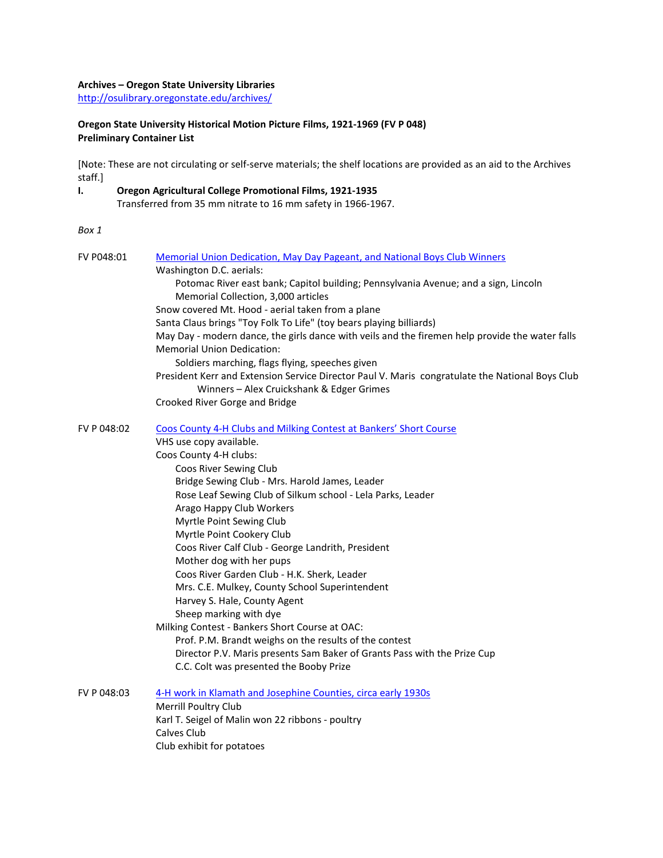### **Archives – Oregon State University Libraries**

<http://osulibrary.oregonstate.edu/archives/>

# **Oregon State University Historical Motion Picture Films, 1921-1969 (FV P 048) Preliminary Container List**

[Note: These are not circulating or self-serve materials; the shelf locations are provided as an aid to the Archives staff.]

**I. Oregon Agricultural College Promotional Films, 1921-1935** Transferred from 35 mm nitrate to 16 mm safety in 1966-1967.

#### *Box 1*

| FV P048:01  | <b>Memorial Union Dedication, May Day Pageant, and National Boys Club Winners</b>               |
|-------------|-------------------------------------------------------------------------------------------------|
|             | Washington D.C. aerials:                                                                        |
|             | Potomac River east bank; Capitol building; Pennsylvania Avenue; and a sign, Lincoln             |
|             | Memorial Collection, 3,000 articles                                                             |
|             | Snow covered Mt. Hood - aerial taken from a plane                                               |
|             | Santa Claus brings "Toy Folk To Life" (toy bears playing billiards)                             |
|             | May Day - modern dance, the girls dance with veils and the firemen help provide the water falls |
|             | <b>Memorial Union Dedication:</b>                                                               |
|             | Soldiers marching, flags flying, speeches given                                                 |
|             | President Kerr and Extension Service Director Paul V. Maris congratulate the National Boys Club |
|             | Winners - Alex Cruickshank & Edger Grimes                                                       |
|             | Crooked River Gorge and Bridge                                                                  |
| FV P 048:02 | Coos County 4-H Clubs and Milking Contest at Bankers' Short Course                              |
|             | VHS use copy available.                                                                         |
|             | Coos County 4-H clubs:                                                                          |
|             | Coos River Sewing Club                                                                          |
|             | Bridge Sewing Club - Mrs. Harold James, Leader                                                  |
|             | Rose Leaf Sewing Club of Silkum school - Lela Parks, Leader                                     |
|             | Arago Happy Club Workers                                                                        |
|             | Myrtle Point Sewing Club                                                                        |
|             | Myrtle Point Cookery Club                                                                       |
|             | Coos River Calf Club - George Landrith, President                                               |
|             | Mother dog with her pups                                                                        |
|             | Coos River Garden Club - H.K. Sherk, Leader                                                     |
|             | Mrs. C.E. Mulkey, County School Superintendent                                                  |
|             | Harvey S. Hale, County Agent                                                                    |
|             | Sheep marking with dye                                                                          |
|             | Milking Contest - Bankers Short Course at OAC:                                                  |
|             | Prof. P.M. Brandt weighs on the results of the contest                                          |
|             | Director P.V. Maris presents Sam Baker of Grants Pass with the Prize Cup                        |
|             | C.C. Colt was presented the Booby Prize                                                         |
| FV P 048:03 | 4-H work in Klamath and Josephine Counties, circa early 1930s                                   |
|             | Merrill Poultry Club                                                                            |
|             | Karl T. Seigel of Malin won 22 ribbons - poultry                                                |
|             | Calves Club                                                                                     |
|             | Club exhibit for potatoes                                                                       |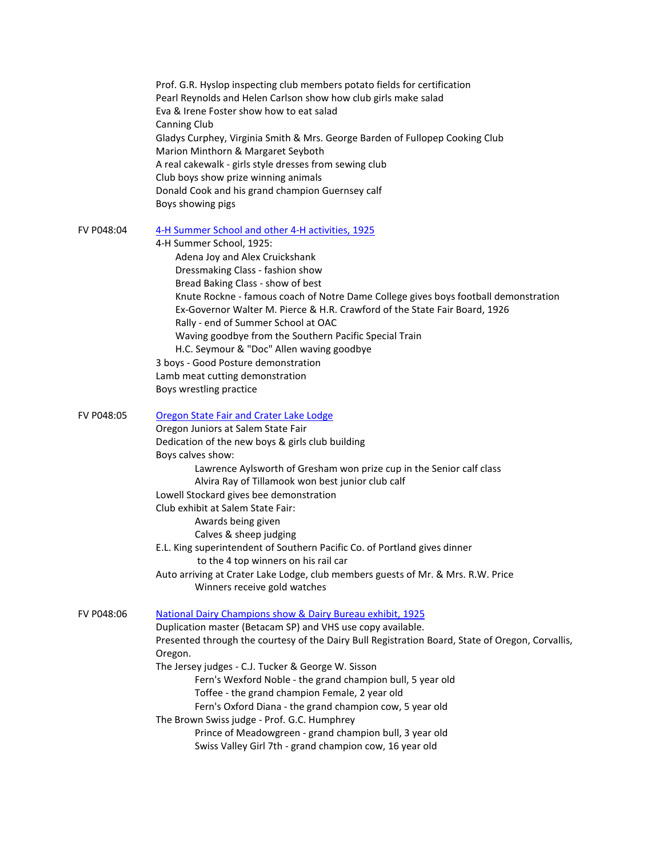|            | Prof. G.R. Hyslop inspecting club members potato fields for certification<br>Pearl Reynolds and Helen Carlson show how club girls make salad<br>Eva & Irene Foster show how to eat salad<br>Canning Club<br>Gladys Curphey, Virginia Smith & Mrs. George Barden of Fullopep Cooking Club<br>Marion Minthorn & Margaret Seyboth<br>A real cakewalk - girls style dresses from sewing club<br>Club boys show prize winning animals<br>Donald Cook and his grand champion Guernsey calf<br>Boys showing pigs                                                                                                                                                    |
|------------|--------------------------------------------------------------------------------------------------------------------------------------------------------------------------------------------------------------------------------------------------------------------------------------------------------------------------------------------------------------------------------------------------------------------------------------------------------------------------------------------------------------------------------------------------------------------------------------------------------------------------------------------------------------|
| FV P048:04 | 4-H Summer School and other 4-H activities, 1925<br>4-H Summer School, 1925:<br>Adena Joy and Alex Cruickshank<br>Dressmaking Class - fashion show<br>Bread Baking Class - show of best<br>Knute Rockne - famous coach of Notre Dame College gives boys football demonstration<br>Ex-Governor Walter M. Pierce & H.R. Crawford of the State Fair Board, 1926<br>Rally - end of Summer School at OAC<br>Waving goodbye from the Southern Pacific Special Train<br>H.C. Seymour & "Doc" Allen waving goodbye<br>3 boys - Good Posture demonstration<br>Lamb meat cutting demonstration<br>Boys wrestling practice                                              |
| FV P048:05 | Oregon State Fair and Crater Lake Lodge<br>Oregon Juniors at Salem State Fair<br>Dedication of the new boys & girls club building<br>Boys calves show:<br>Lawrence Aylsworth of Gresham won prize cup in the Senior calf class<br>Alvira Ray of Tillamook won best junior club calf<br>Lowell Stockard gives bee demonstration<br>Club exhibit at Salem State Fair:<br>Awards being given<br>Calves & sheep judging<br>E.L. King superintendent of Southern Pacific Co. of Portland gives dinner<br>to the 4 top winners on his rail car<br>Auto arriving at Crater Lake Lodge, club members guests of Mr. & Mrs. R.W. Price<br>Winners receive gold watches |
| FV P048:06 | National Dairy Champions show & Dairy Bureau exhibit, 1925<br>Duplication master (Betacam SP) and VHS use copy available.<br>Presented through the courtesy of the Dairy Bull Registration Board, State of Oregon, Corvallis,<br>Oregon.<br>The Jersey judges - C.J. Tucker & George W. Sisson<br>Fern's Wexford Noble - the grand champion bull, 5 year old<br>Toffee - the grand champion Female, 2 year old<br>Fern's Oxford Diana - the grand champion cow, 5 year old<br>The Brown Swiss judge - Prof. G.C. Humphrey<br>Prince of Meadowgreen - grand champion bull, 3 year old<br>Swiss Valley Girl 7th - grand champion cow, 16 year old              |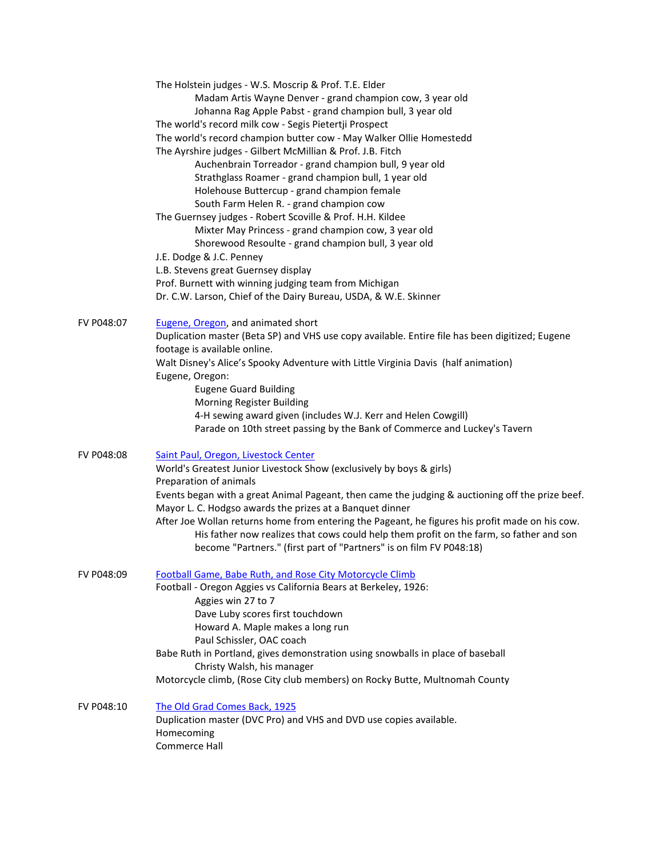|            | The Holstein judges - W.S. Moscrip & Prof. T.E. Elder<br>Madam Artis Wayne Denver - grand champion cow, 3 year old<br>Johanna Rag Apple Pabst - grand champion bull, 3 year old |
|------------|---------------------------------------------------------------------------------------------------------------------------------------------------------------------------------|
|            | The world's record milk cow - Segis Pietertji Prospect                                                                                                                          |
|            | The world's record champion butter cow - May Walker Ollie Homestedd                                                                                                             |
|            | The Ayrshire judges - Gilbert McMillian & Prof. J.B. Fitch                                                                                                                      |
|            | Auchenbrain Torreador - grand champion bull, 9 year old                                                                                                                         |
|            | Strathglass Roamer - grand champion bull, 1 year old                                                                                                                            |
|            | Holehouse Buttercup - grand champion female                                                                                                                                     |
|            | South Farm Helen R. - grand champion cow                                                                                                                                        |
|            | The Guernsey judges - Robert Scoville & Prof. H.H. Kildee                                                                                                                       |
|            | Mixter May Princess - grand champion cow, 3 year old                                                                                                                            |
|            | Shorewood Resoulte - grand champion bull, 3 year old                                                                                                                            |
|            | J.E. Dodge & J.C. Penney                                                                                                                                                        |
|            | L.B. Stevens great Guernsey display                                                                                                                                             |
|            | Prof. Burnett with winning judging team from Michigan                                                                                                                           |
|            | Dr. C.W. Larson, Chief of the Dairy Bureau, USDA, & W.E. Skinner                                                                                                                |
| FV P048:07 | Eugene, Oregon, and animated short                                                                                                                                              |
|            | Duplication master (Beta SP) and VHS use copy available. Entire file has been digitized; Eugene<br>footage is available online.                                                 |
|            | Walt Disney's Alice's Spooky Adventure with Little Virginia Davis (half animation)<br>Eugene, Oregon:                                                                           |
|            | <b>Eugene Guard Building</b>                                                                                                                                                    |
|            | Morning Register Building                                                                                                                                                       |
|            | 4-H sewing award given (includes W.J. Kerr and Helen Cowgill)                                                                                                                   |
|            | Parade on 10th street passing by the Bank of Commerce and Luckey's Tavern                                                                                                       |
| FV P048:08 | Saint Paul, Oregon, Livestock Center                                                                                                                                            |
|            | World's Greatest Junior Livestock Show (exclusively by boys & girls)<br>Preparation of animals                                                                                  |
|            | Events began with a great Animal Pageant, then came the judging & auctioning off the prize beef.<br>Mayor L. C. Hodgso awards the prizes at a Banquet dinner                    |
|            | After Joe Wollan returns home from entering the Pageant, he figures his profit made on his cow.                                                                                 |
|            | His father now realizes that cows could help them profit on the farm, so father and son<br>become "Partners." (first part of "Partners" is on film FV P048:18)                  |
| FV P048:09 | Football Game, Babe Ruth, and Rose City Motorcycle Climb                                                                                                                        |
|            | Football - Oregon Aggies vs California Bears at Berkeley, 1926:<br>Aggies win 27 to 7                                                                                           |
|            | Dave Luby scores first touchdown                                                                                                                                                |
|            | Howard A. Maple makes a long run                                                                                                                                                |
|            | Paul Schissler, OAC coach                                                                                                                                                       |
|            | Babe Ruth in Portland, gives demonstration using snowballs in place of baseball                                                                                                 |
|            | Christy Walsh, his manager                                                                                                                                                      |
|            | Motorcycle climb, (Rose City club members) on Rocky Butte, Multnomah County                                                                                                     |
| FV P048:10 | The Old Grad Comes Back, 1925                                                                                                                                                   |
|            | Homecoming                                                                                                                                                                      |
|            | Duplication master (DVC Pro) and VHS and DVD use copies available.<br>Commerce Hall                                                                                             |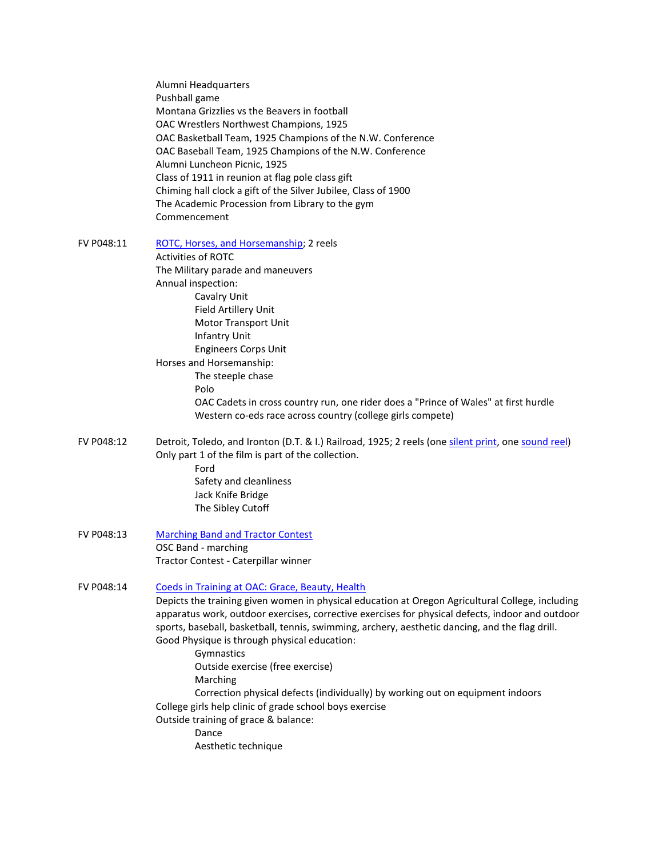| Alumni Headquarters                                            |
|----------------------------------------------------------------|
| Pushball game                                                  |
| Montana Grizzlies vs the Beavers in football                   |
| OAC Wrestlers Northwest Champions, 1925                        |
| OAC Basketball Team, 1925 Champions of the N.W. Conference     |
| OAC Baseball Team, 1925 Champions of the N.W. Conference       |
| Alumni Luncheon Picnic, 1925                                   |
| Class of 1911 in reunion at flag pole class gift               |
| Chiming hall clock a gift of the Silver Jubilee, Class of 1900 |
| The Academic Procession from Library to the gym                |
| Commencement                                                   |

FV P048:11 [ROTC, Horses, and Horsemanship;](https://media.oregonstate.edu/media/t/1_79v2jbn8/2947392) 2 reels

Activities of ROTC The Military parade and maneuvers Annual inspection: Cavalry Unit Field Artillery Unit Motor Transport Unit Infantry Unit Engineers Corps Unit Horses and Horsemanship: The steeple chase Polo OAC Cadets in cross country run, one rider does a "Prince of Wales" at first hurdle Western co-eds race across country (college girls compete)

- FV P048:12 Detroit, Toledo, and Ironton (D.T. & I.) Railroad, 1925; 2 reels (one [silent print,](https://media.oregonstate.edu/media/t/1_4zvu0atf/2947392) on[e sound](https://media.oregonstate.edu/media/t/1_5gtgaz3s/2947392) reel) Only part 1 of the film is part of the collection. Ford Safety and cleanliness Jack Knife Bridge The Sibley Cutoff
- FV P048:13 [Marching Band and Tractor Contest](https://media.oregonstate.edu/media/t/1_ks5ua8w3/2947392) OSC Band - marching Tractor Contest - Caterpillar winner

### FV P048:14 [Coeds in Training at OAC: Grace,](https://media.oregonstate.edu/media/t/1_luiric11/2947392) Beauty, Health

Depicts the training given women in physical education at Oregon Agricultural College, including apparatus work, outdoor exercises, corrective exercises for physical defects, indoor and outdoor sports, baseball, basketball, tennis, swimming, archery, aesthetic dancing, and the flag drill. Good Physique is through physical education:

Gymnastics Outside exercise (free exercise) Marching Correction physical defects (individually) by working out on equipment indoors College girls help clinic of grade school boys exercise Outside training of grace & balance: Dance

Aesthetic technique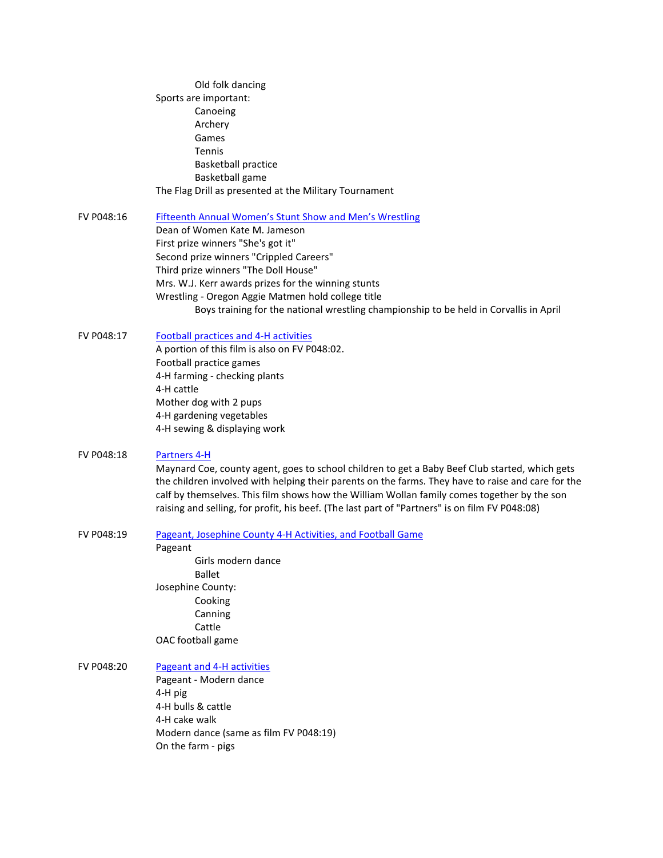- Old folk dancing Sports are important: Canoeing Archery Games Tennis Basketball practice Basketball game The Flag Drill as presented at the Military Tournament
- FV P048:16 [Fifteenth Annual Women's Stunt Show](https://media.oregonstate.edu/media/t/1_h9yeecxv/2947392) and Men's Wrestling Dean of Women Kate M. Jameson First prize winners "She's got it" Second prize winners "Crippled Careers" Third prize winners "The Doll House" Mrs. W.J. Kerr awards prizes for the winning stunts Wrestling - Oregon Aggie Matmen hold college title Boys training for the national wrestling championship to be held in Corvallis in April
- FV P048:17 [Football practices and 4-H activities](https://media.oregonstate.edu/media/t/1_wjux2nwz/2947392) A portion of this film is also on FV P048:02. Football practice games 4-H farming - checking plants 4-H cattle Mother dog with 2 pups 4-H gardening vegetables 4-H sewing & displaying work

#### FV P048:18 [Partners](https://media.oregonstate.edu/media/t/1_ngetuv4g/2947392) 4-H

Maynard Coe, county agent, goes to school children to get a Baby Beef Club started, which gets the children involved with helping their parents on the farms. They have to raise and care for the calf by themselves. This film shows how the William Wollan family comes together by the son raising and selling, for profit, his beef. (The last part of "Partners" is on film FV P048:08)

FV P048:19 [Pageant, Josephine County 4-H Activities, and Football Game](https://media.oregonstate.edu/media/t/1_j8l6otdp/2947392)

Pageant

Girls modern dance Ballet Josephine County: Cooking Canning Cattle OAC football game

### FV P048:20 [Pageant and 4-H activities](https://media.oregonstate.edu/media/t/1_h5b4eqhl/2947392)

Pageant - Modern dance 4-H pig 4-H bulls & cattle 4-H cake walk Modern dance (same as film FV P048:19) On the farm - pigs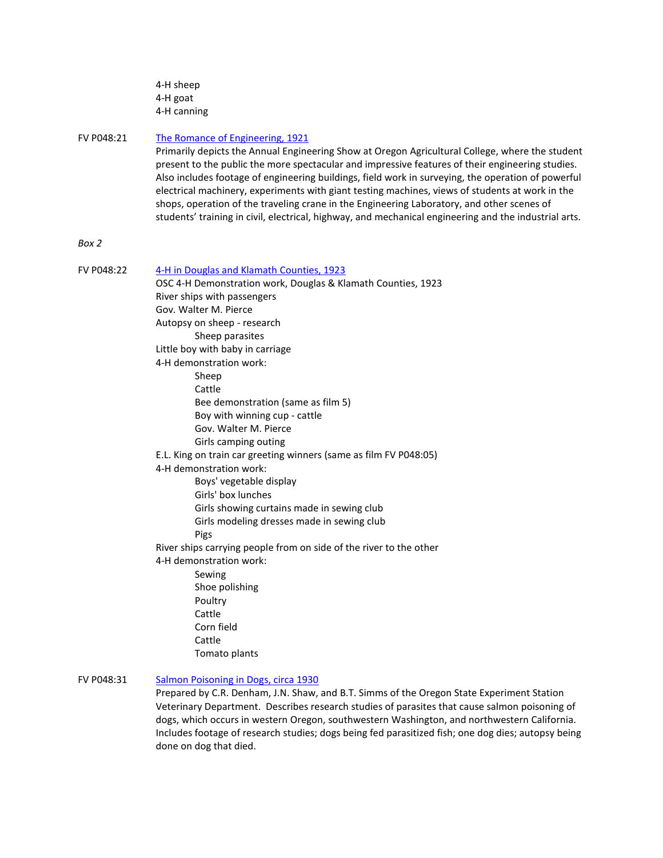| 4-H sheep   |
|-------------|
| 4-H goat    |
| 4-H canning |

### FV P048:21 [The Romance of Engineering, 1921](https://media.oregonstate.edu/media/t/1_hglxydrw/2947392)

Primarily depicts the Annual Engineering Show at Oregon Agricultural College, where the student present to the public the more spectacular and impressive features of their engineering studies. Also includes footage of engineering buildings, field work in surveying, the operation of powerful electrical machinery, experiments with giant testing machines, views of students at work in the shops, operation of the traveling crane in the Engineering Laboratory, and other scenes of students' training in civil, electrical, highway, and mechanical engineering and the industrial arts.

## *Box 2*

FV P048:22 [4-H in Douglas and Klamath Counties, 1923](https://media.oregonstate.edu/media/t/1_zq1beahb/2947392) OSC 4-H Demonstration work, Douglas & Klamath Counties, 1923 River ships with passengers Gov. Walter M. Pierce Autopsy on sheep - research Sheep parasites Little boy with baby in carriage 4-H demonstration work: Sheep Cattle Bee demonstration (same as film 5) Boy with winning cup - cattle Gov. Walter M. Pierce Girls camping outing E.L. King on train car greeting winners (same as film FV P048:05) 4-H demonstration work: Boys' vegetable display Girls' box lunches Girls showing curtains made in sewing club Girls modeling dresses made in sewing club Pigs River ships carrying people from on side of the river to the other 4-H demonstration work: Sewing Shoe polishing Poultry Cattle Corn field Cattle Tomato plants FV P048:31 Salmon Poisoning [in Dogs, circa 1930](https://media.oregonstate.edu/media/t/1_cwljz0mj/2947392)

# Prepared by C.R. Denham, J.N. Shaw, and B.T. Simms of the Oregon State Experiment Station Veterinary Department. Describes research studies of parasites that cause salmon poisoning of dogs, which occurs in western Oregon, southwestern Washington, and northwestern California. Includes footage of research studies; dogs being fed parasitized fish; one dog dies; autopsy being done on dog that died.